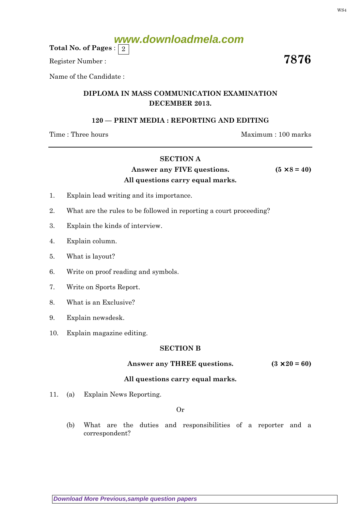# **www.downloadmela.com**

Total No. of Pages :  $\mid 2 \rangle$ 

Register Number :  $\overline{\hspace{1.6cm}7876}$ 

Name of the Candidate :

# DIPLOMA IN MASS COMMUNICATION EXAMINATION DECEMBER 2013.

## 120 — PRINT MEDIA : REPORTING AND EDITING

Time : Three hours Maximum : 100 marks

#### SECTION A

# Answer any FIVE questions.  $(5 \times 8 = 40)$ All questions carry equal marks.

#### 1. Explain lead writing and its importance.

- 2. What are the rules to be followed in reporting a court proceeding?
- 3. Explain the kinds of interview.
- 4. Explain column.
- 5. What is layout?
- 6. Write on proof reading and symbols.
- 7. Write on Sports Report.
- 8. What is an Exclusive?
- 9. Explain newsdesk.
- 10. Explain magazine editing.

#### SECTION B

## Answer any THREE questions.  $(3 \times 20 = 60)$

#### All questions carry equal marks.

11. (a) Explain News Reporting.

Or

(b) What are the duties and responsibilities of a reporter and a correspondent?